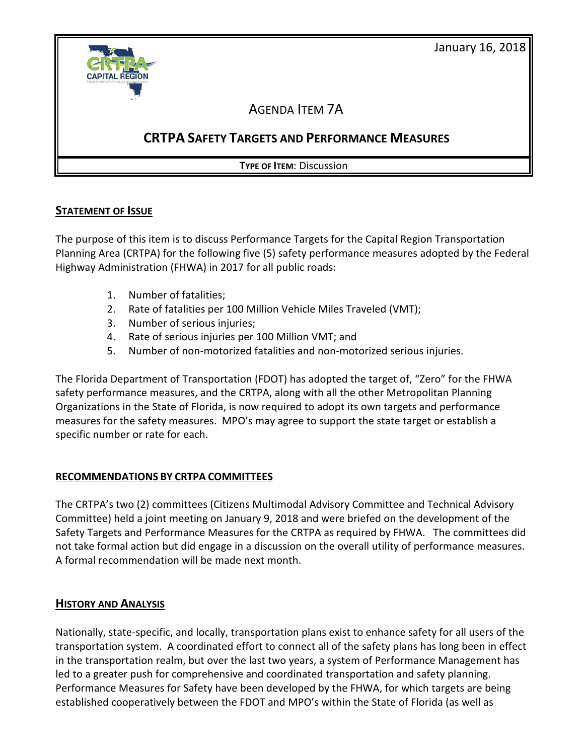January 16, 2018



# AGENDA ITEM 7A

# **CRTPA SAFETY TARGETS AND PERFORMANCE MEASURES**

**TYPE OF ITEM**: Discussion

## **STATEMENT OF ISSUE**

The purpose of this item is to discuss Performance Targets for the Capital Region Transportation Planning Area (CRTPA) for the following five (5) safety performance measures adopted by the Federal Highway Administration (FHWA) in 2017 for all public roads:

- 1. Number of fatalities;
- 2. Rate of fatalities per 100 Million Vehicle Miles Traveled (VMT);
- 3. Number of serious injuries;
- 4. Rate of serious injuries per 100 Million VMT; and
- 5. Number of non-motorized fatalities and non-motorized serious injuries.

The Florida Department of Transportation (FDOT) has adopted the target of, "Zero" for the FHWA safety performance measures, and the CRTPA, along with all the other Metropolitan Planning Organizations in the State of Florida, is now required to adopt its own targets and performance measures for the safety measures. MPO's may agree to support the state target or establish a specific number or rate for each.

# **RECOMMENDATIONS BY CRTPA COMMITTEES**

The CRTPA's two (2) committees (Citizens Multimodal Advisory Committee and Technical Advisory Committee) held a joint meeting on January 9, 2018 and were briefed on the development of the Safety Targets and Performance Measures for the CRTPA as required by FHWA. The committees did not take formal action but did engage in a discussion on the overall utility of performance measures. A formal recommendation will be made next month.

# **HISTORY AND ANALYSIS**

Nationally, state-specific, and locally, transportation plans exist to enhance safety for all users of the transportation system. A coordinated effort to connect all of the safety plans has long been in effect in the transportation realm, but over the last two years, a system of Performance Management has led to a greater push for comprehensive and coordinated transportation and safety planning. Performance Measures for Safety have been developed by the FHWA, for which targets are being established cooperatively between the FDOT and MPO's within the State of Florida (as well as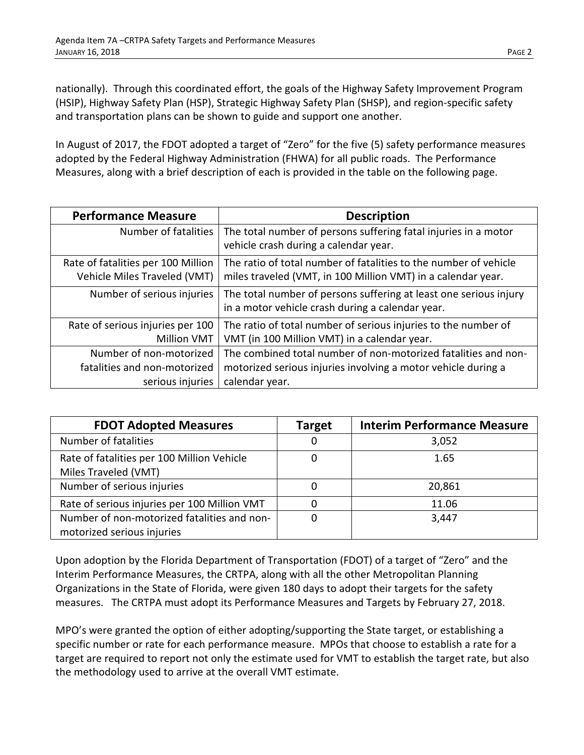nationally). Through this coordinated effort, the goals of the Highway Safety Improvement Program (HSIP), Highway Safety Plan (HSP), Strategic Highway Safety Plan (SHSP), and region-specific safety and transportation plans can be shown to guide and support one another.

In August of 2017, the FDOT adopted a target of "Zero" for the five (5) safety performance measures adopted by the Federal Highway Administration (FHWA) for all public roads. The Performance Measures, along with a brief description of each is provided in the table on the following page.

| <b>Performance Measure</b>                                         | <b>Description</b>                                                                                                               |
|--------------------------------------------------------------------|----------------------------------------------------------------------------------------------------------------------------------|
| Number of fatalities                                               | The total number of persons suffering fatal injuries in a motor<br>vehicle crash during a calendar year.                         |
| Rate of fatalities per 100 Million<br>Vehicle Miles Traveled (VMT) | The ratio of total number of fatalities to the number of vehicle<br>miles traveled (VMT, in 100 Million VMT) in a calendar year. |
| Number of serious injuries                                         | The total number of persons suffering at least one serious injury<br>in a motor vehicle crash during a calendar year.            |
| Rate of serious injuries per 100<br><b>Million VMT</b>             | The ratio of total number of serious injuries to the number of<br>VMT (in 100 Million VMT) in a calendar year.                   |
| Number of non-motorized                                            | The combined total number of non-motorized fatalities and non-                                                                   |
| fatalities and non-motorized                                       | motorized serious injuries involving a motor vehicle during a                                                                    |
| serious injuries                                                   | calendar year.                                                                                                                   |

| <b>FDOT Adopted Measures</b>                                              | <b>Target</b> | <b>Interim Performance Measure</b> |
|---------------------------------------------------------------------------|---------------|------------------------------------|
| Number of fatalities                                                      | 0             | 3,052                              |
| Rate of fatalities per 100 Million Vehicle<br>Miles Traveled (VMT)        | 0             | 1.65                               |
| Number of serious injuries                                                | 0             | 20,861                             |
| Rate of serious injuries per 100 Million VMT                              | O             | 11.06                              |
| Number of non-motorized fatalities and non-<br>motorized serious injuries | 0             | 3,447                              |

Upon adoption by the Florida Department of Transportation (FDOT) of a target of "Zero" and the Interim Performance Measures, the CRTPA, along with all the other Metropolitan Planning Organizations in the State of Florida, were given 180 days to adopt their targets for the safety measures. The CRTPA must adopt its Performance Measures and Targets by February 27, 2018.

MPO's were granted the option of either adopting/supporting the State target, or establishing a specific number or rate for each performance measure. MPOs that choose to establish a rate for a target are required to report not only the estimate used for VMT to establish the target rate, but also the methodology used to arrive at the overall VMT estimate.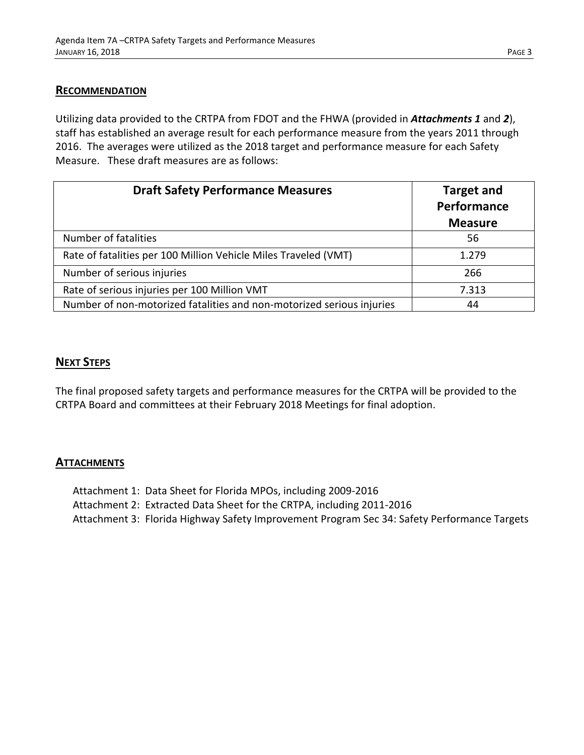#### **RECOMMENDATION**

Utilizing data provided to the CRTPA from FDOT and the FHWA (provided in *Attachments 1* and *2*), staff has established an average result for each performance measure from the years 2011 through 2016. The averages were utilized as the 2018 target and performance measure for each Safety Measure. These draft measures are as follows:

| <b>Draft Safety Performance Measures</b>                              | <b>Target and</b><br>Performance<br><b>Measure</b> |
|-----------------------------------------------------------------------|----------------------------------------------------|
| Number of fatalities                                                  | 56                                                 |
| Rate of fatalities per 100 Million Vehicle Miles Traveled (VMT)       | 1.279                                              |
| Number of serious injuries                                            | 266                                                |
| Rate of serious injuries per 100 Million VMT                          | 7.313                                              |
| Number of non-motorized fatalities and non-motorized serious injuries | 44                                                 |

### **NEXT STEPS**

The final proposed safety targets and performance measures for the CRTPA will be provided to the CRTPA Board and committees at their February 2018 Meetings for final adoption.

### **ATTACHMENTS**

Attachment 1: Data Sheet for Florida MPOs, including 2009-2016 Attachment 2: Extracted Data Sheet for the CRTPA, including 2011-2016 Attachment 3: Florida Highway Safety Improvement Program Sec 34: Safety Performance Targets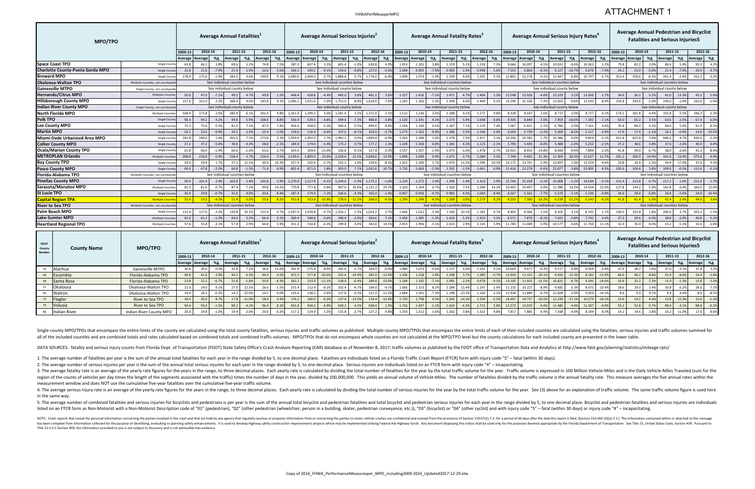#### FHWAPerfMeasperMPO

3. The average fatality rate is an average of the yearly rate figures for the years in the range, to three decimal places. Each yearly rate is calculated by dividing the total number of fatalities for the year by the total region of the counts of vehicles per day times the length of the segments associated with the traffic) times the number of days in the year, divided by 100,000,000. This yields an annual volume of Vehicle-Miles. The number measurement window and does NOT use the cumulative five-year fatalities over the cumulative five-year traffic volume.

4. The average serious injury rate is an average of the yearly rate figures for the years in the range, to three decimal places. Each yearly rate is calculated by dividing the total number of serious injuries for the year in the same way.

5. The average number of combined fatalities and serious injuries for bicyclists and pedestrians is per year is the sum of the annual total bicyclist and pedestrian fatalities and total bicyclist and podestrian serious inj listed on an FTCR form as Non-Motorist with a Non-Motorist Description code of "01" (pedestrian), "02" (other pedestrian), "02" (other pedestrian), "or (other pedestrian (wheelchair, person in a building, skater, pedestria

| <b>FDOT</b><br>County<br><b>Number</b> | <b>County Name</b> | <b>MPO/TPO</b>          |                 |         | <b>Average Annual Fatalities</b> <sup>1</sup> |          |         |         |                                  |         |              | <b>Average Annual Serious Injuries</b> |          |                    |          |         |         | Average Annual Fatality Rates <sup>3</sup> |          |                                                                                          |         |         | Average Annual Serious Injury Rates <sup>4</sup> |         |         |          |         |          |                                                       |         |         | <b>Average Annual Pedestrian and Bicyclist</b><br><b>Fatalities and Serious Injuries5</b> |       |         |         |
|----------------------------------------|--------------------|-------------------------|-----------------|---------|-----------------------------------------------|----------|---------|---------|----------------------------------|---------|--------------|----------------------------------------|----------|--------------------|----------|---------|---------|--------------------------------------------|----------|------------------------------------------------------------------------------------------|---------|---------|--------------------------------------------------|---------|---------|----------|---------|----------|-------------------------------------------------------|---------|---------|-------------------------------------------------------------------------------------------|-------|---------|---------|
|                                        |                    |                         | 2009-1          | 2010-14 | 2011-15                                       |          | 2012-16 |         | 2009-13                          | 2010-14 |              | 2011-15                                |          | 2012-16            |          | 2009-13 | 2010-14 | 2011-15                                    |          | 2012-16                                                                                  |         | 2009-13 | 2010-14                                          |         | 2011-15 |          | 2012-16 |          | 2009-13                                               | 2010-14 |         | 2011-15                                                                                   |       | 2012-16 |         |
|                                        |                    |                         | Average Average |         | $% \triangle$ Average                         |          |         |         | %∆ Average %∆ Average Average %∆ |         |              | Average                                |          | $% \Delta Average$ |          |         |         |                                            |          | %Δ Average Average   %Δ   Average   %Δ   Average   %Δ   Average   Average   %Δ   Average |         |         |                                                  |         |         | %∆       | Average |          | %∆ Average Average   %∆   Average   %∆   Average   %∆ |         |         |                                                                                           |       |         |         |
|                                        | Alachua            | Gainesville MTPO        |                 |         |                                               |          |         |         | 302.8                            |         |              |                                        |          |                    |          |         |         |                                            |          |                                                                                          |         | 10.669  |                                                  |         |         | -4.8%    | 8.959   |          |                                                       |         |         |                                                                                           |       |         |         |
|                                        | Escambia           | Florida-Alabama TPO     | 40.8            |         | 44.2                                          | 6.3%     |         |         | 472.2                            |         | 377.8 -20.0% | 321.4                                  | $-14.9%$ |                    | $-12.4%$ | 1.206   | 1.228   | 1.298                                      | 5.7%     | 1.289                                                                                    | $-0.7%$ | 13.954  | 11.152 -20.1%                                    |         | 9.450   | $-15.3%$ | 8.182   | $-13.4%$ |                                                       | 60.2    | $-8.8%$ | 55.4                                                                                      |       |         | $-1.8%$ |
|                                        | Santa Rosa         | Florida-Alabama TPO     | 23.8            | 22.2    | 21.8                                          | $-1.8%$  | 20.0    | $-8.3%$ | 262.2                            | 233.0   | $-11.1%$     | 218.0                                  | $-6.4%$  |                    | $-13.0%$ | 1.189   | 1.105   | 1.081                                      | $-2.2%$  | 0.978                                                                                    | $-9.5%$ | 13.105  | 11.602 -11.5%                                    |         | 10.821  |          | 9.245   | $-14.6%$ | 16.4                                                  | 15.2    |         | 15.0                                                                                      |       | 15.8    |         |
|                                        | Okaloosa           | Okaloosa-Walton TPO     | 22.0            | 24.0    | 27.0                                          | 12.5%    | 26.6    |         | 231.4                            | 212.4   | -8.2%        | 202.4                                  | $-4.7%$  |                    | $-9.1%$  | 1.066   | 1.153   | 1.284                                      | 11.4%    | 1.247                                                                                    | $-2.9%$ | 11.232  | 10.227                                           | $-8.99$ | 9.681   | $-5.3%$  | 8.675   | $-10.4%$ |                                                       | 29.U    |         | 30.8                                                                                      |       | 28.6    |         |
|                                        | Walton             | Okaloosa-Walton TPO     | 19.4            | 18.2    | 14.2                                          | $-22.0%$ | 14.2    |         | 143.4                            | 138.2   |              | 137.8                                  | $-0.3%$  |                    | $-12.2%$ | 1.684   | 1.561   | 1.198                                      | $-23.3%$ | 1.160                                                                                    |         | 12.434  | 11.849                                           | $-4.79$ | 11.609  | $-2.0%$  | 9.954   | $-14.3%$ |                                                       |         |         |                                                                                           |       |         | $-8.5%$ |
|                                        | Flagler            | River to Sea TPO        | 18.4            | 20.0    | 17.8                                          | $-11.0%$ | 18.4    | 3.4%    | 176.2                            | 160.0   |              | 137.5                                  | $-13.9%$ | 119.4              | $-13.4%$ | 1.720   | 1.798   | 1.542                                      | $-14.2%$ | 1.504                                                                                    | $-2.5%$ | 16.497  | 14.757 -10.5%                                    |         | 12.239  | $-17.1%$ | 10.274  | $-16.1%$ | 13.6                                                  | 14.2    | 4.4%    | 15.8                                                                                      | 11.3% |         | $-1.3%$ |
|                                        | Volusia            | River to Sea TPO        | 94.4            |         | 89.2                                          |          | 96.4    | 8.1%    | 691.8                            | 658.2   |              | 630.2                                  | $-4.3%$  | 638.4              | 1.3%     | 1.716   | 1.697   | 1.624                                      | $-4.3%$  | 1.715                                                                                    |         | 12.573  | 12.019                                           | $-4.4%$ | 11.485  | $-4.4%$  | 11.387  | $-0.9%$  | 92.2                                                  |         |         | 89.0                                                                                      |       | 88.8    | $-0.2%$ |
|                                        | Indian River       | Indian River County MPO |                 | 19.8    | 19.4                                          | $-2.0%$  | 20.6    | 6.2%    | 117.2                            | 119.0   |              |                                        |          |                    |          | 1.333   | 1.312   | 1.262                                      | $-3.8%$  | 1.322                                                                                    | 4.8%    | 7.817   | 7.885                                            |         | 7.568   | $-4.0%$  | 8.194   |          |                                                       | 14.6    |         | 16.2                                                                                      | 11.0% | 17.6    | 8.6%    |

Single-county MPO/TPOs that encompass the entire limits of the county are calculated using the total county fatalities, serious injuries and traffic volumes as published. Multiple-county MPO/TPOs that encompass the entire all of the included counties and are combined totals and rates calculated based on combined totals and combined traffic volumes. MPO/TPOs that do not encompass whole counties are not calculated at the MPO/TPO level but the

DATA SOURCES: fatality and serious injury counts from Florida Dept. of Transportation (FDOT) State Safety Office's Crash Analysis Reporting (CAR) database as of November 8, 2017; traffic volumes as published by the FDOT of

1. The average number of fatalities per year is the sum of the annual total fatalities for each year in the range divided by 5, to one decimal place. Fatalities are individuals listed on a Florida Traffic Crash Report (FTC 2. The average number of serious injuries per year is the sum of the annual total serious injuries for each year in the range divided by 5, to one decimal place. Serious injuries are individuals listed on an FTCR form with

NOTE: Crash reports that reveal the personal information concerning the parties involved in the crash and that are held by any agency that repedid by any agency that regularly receives or prepares information from or conce has been compiled from information collected for the purpose of identifying, evaluating or planning serius en planning safety enhancements. It is used to develop highway safety construction improvements projects which may Title 23 U.S.C Section 409, the information provided to you is not subject to discovery and is not admissible into evidence.

| <b>MPO/TPO</b>                          |                                  |         |                 | Average Annual Fatalities <sup>1</sup> |         |         |         |               |         | Average Annual Serious Injuries <sup>4</sup> |          |                               |         |         |         |                 |         |         | Average Annual Fatality Rates <sup>3</sup> |                  |         |         |                             | Average Annual Serious Injury Rates |                             |         |                               |         |         |                 | <b>Average Annual Pedestrian and Bicyclist</b><br><b>Fatalities and Serious Injuries5</b> |                               |         |         |                     |             |
|-----------------------------------------|----------------------------------|---------|-----------------|----------------------------------------|---------|---------|---------|---------------|---------|----------------------------------------------|----------|-------------------------------|---------|---------|---------|-----------------|---------|---------|--------------------------------------------|------------------|---------|---------|-----------------------------|-------------------------------------|-----------------------------|---------|-------------------------------|---------|---------|-----------------|-------------------------------------------------------------------------------------------|-------------------------------|---------|---------|---------------------|-------------|
|                                         |                                  | 2009-13 | 2010-14         |                                        | 2011-15 |         | 2012-16 |               | 2009-13 | 2010-14                                      |          | 2011-15                       |         | 2012-16 |         | 2009-13         | 2010-14 |         | 2011-15                                    |                  | 2012-16 |         | 2009-13                     | 2010-14                             |                             | 2011-15 |                               | 2012-16 |         | 2009-13         | 2010-14                                                                                   |                               | 2011-15 |         | 2012-16             |             |
|                                         |                                  |         | Average Average | %∆                                     | Average | %∆      | Average | %∆            |         | Average Average                              | %∆       | Average                       | %∆      | Average | %∆      | Average Average |         | %∆      | Average                                    | %∆               | Average | %∆      | Average Average $\% \Delta$ |                                     |                             | Average | %∆                            | Average | %∆      | Average Average |                                                                                           | %∆                            | Average | %∆      | Average $\% \Delta$ |             |
| <b>Space Coast TPO</b>                  | Single County                    | 63.8    | 66.2            | 3.8%                                   | 69.6    | 5.1%    | 74.8    |               | 587.0   | 607.4                                        | 3.5%     | 601.4                         | $-1.0%$ | 630.8   | 4.99    | 1.053           | 1.101   | 3.8%    | 1.159                                      | 5.19             | 1.218   | 7.5%    | 9.666                       | 10.097                              | 4.59                        | 10.033  | $-0.6%$                       | 10.363  | 3.3%    | 79.8            | 82.2                                                                                      | 3.0%                          | 86.6    | 5.4%    | 90.2                | 4.2%        |
| <b>Charlotte County-Punta Gorda MPO</b> | Single Coun                      | 22.8    | 21.0            | $-7.9%$                                | 21.4    | 1.9%    | 22.6    | - 5.6%        | 164.2   | 149.2                                        | $-9.1%$  | 134.6                         | $-9.8%$ | 127.0   | $-5.6%$ | 1.048           | 0.965   | $-7.9%$ | 0.969                                      | 1.9%             | 0.998   | 5.6%    | 7.555                       | 6.864                               | $-9.19$                     | 6.127   | $-10.7%$                      | 5.676   | $-7.4%$ | 24.2            | 23.0                                                                                      | $-5.0%$                       | 21.4    | $-7.0%$ | 20.4                | $-4.7%$     |
| <b>Broward MPO</b>                      | Single Coun                      | 178.4   | 175.0           | $-1.9%$                                | 183.0   |         | 199.6   |               | 2,080.6 | 2.004.0                                      | $-3.7%$  | 1.888.8                       | $-5.79$ | 1,776.0 | $-6.09$ | 1.099           | 1.074   | $-1.9%$ | 1.109                                      | 4.69             | 1.205   | 9.1%    | 12.801                      | 12.278                              | $-4.19$                     | 11.447  | $-6.8%$                       | 10.797  | $-5.79$ | 351.4           | 350.6                                                                                     | $-0.2%$                       | 341.4   | $-2.6%$ | 352.2               | 3.2%        |
| <b>Okaloosa-Walton TPO</b>              | Multiple Counties, not countyw   |         |                 | See individual counties below          |         |         |         |               |         |                                              |          | See individual counties below |         |         |         |                 |         |         | See individual counties below              |                  |         |         |                             |                                     |                             |         | See individual counties below |         |         |                 |                                                                                           | See individual counties below |         |         |                     |             |
| <b>Gainesville MTPO</b>                 | Single County, not countyw       |         |                 | See individual county below            |         |         |         |               |         |                                              |          | See individual county below   |         |         |         |                 |         |         | See individual county below                |                  |         |         |                             |                                     | See individual county below |         |                               |         |         |                 |                                                                                           | See individual county below   |         |         |                     |             |
| <b>Hernando/Citrus MPO</b>              | Multiple Count                   | 50.6    | 47.0            | $-7.1%$                                | 49.2    | 4.7%    | 49.8    | $1.2^{\circ}$ | 448.4   | 428.8                                        | $-4.4%$  | 445.0                         | 3.8%    | 461.2   | 3.69    | 1.527           | 1.416   | $-7.1%$ | 1.471                                      | 4.79             | 1.464   | 1.2%    | 13.548                      | 12.926                              | $-4.6%$                     | 13.329  | 3.1%                          | 13.560  | 1.7%    | 34.4            | 36.2                                                                                      | 5.2%                          | 41.0    | 13.3%   | 43.2                | 5.4%        |
| <b>Hillsborough County MPO</b>          | Single Cour                      | 157.6   | 161.0           | 2.2%                                   | 168.4   | 4.6%    | 183.8   | 9.1%          | 2,066.2 | 1,921.6                                      | $-7.0%$  | 1,752.0                       | $-8.89$ | 1,618.0 | $-7.69$ | 1.245           | 1.266   | 2.2%    | 1.308                                      | 4.69             | 1.400   | 9.1%    | 16.296                      | 15.106                              | $-7.39$                     | 13.650  | $-9.6%$                       | 12.430  | $-8.99$ | 254.8           | 249.6                                                                                     | $-2.0%$                       | 246.0   | $-1.4%$ | 242.6               | $-1.4%$     |
| <b>Indian River County MPO</b>          | Single County, not countyw       |         |                 | See individual county below            |         |         |         |               |         |                                              |          | See individual county below   |         |         |         |                 |         |         | See individual county below                |                  |         |         |                             |                                     | See individual county below |         |                               |         |         |                 |                                                                                           | See individual county below   |         |         |                     |             |
| North Florida MPO                       | Multiple Count                   | 168.4   | 172.8           | 2.6%                                   | 183.4   | 6.1%    | 201.4   | 9.89          | 1,261.0 | 1,299.2                                      |          | 1,341.                        | 3.2%    | 1,371.0 | 2.29    | 1.112           | 1.136   | 2.6%    | 1.188                                      | 6.19             | 1.272   | 9.8%    | 8.329                       | 8.547                               | 2.69                        | 8.717   | 2.0%                          | 8.727   | 0.1%    | 174.2           | 181.8                                                                                     | 4.4%                          | 191.8   | 5.5%    | 196.2               | 2.3%        |
| <b>Polk TPO</b>                         | Single Count                     | 90.4    | 94.2            | 4.2%                                   | 99.8    | 5.9%    | 108.6   | 88            | 566.4   | 539.0                                        | $-4.8%$  | 499.6                         | $-7.3%$ | 480.8   | $-3.89$ | 1.520           | 1.541   | 4.2%    | 1.579                                      | 5.99             | 1.648   | 8.8%    | 9.503                       | 8.840                               | $-7.09$                     | 7.959   | $-10.0%$                      | 7.392   | $-7.1%$ | 63.0            | 65.2                                                                                      | 3.5%                          | 63.6    | $-2.5%$ | 67.4                | 6.0%        |
| Lee County MPO                          | Single Coun                      | 75.2    | 75.6            | 0.5%                                   | 81.0    | 7.1%    | 87.0    |               | 456.6   | 458.0                                        | 0.3%     | 460.4                         | 0.5%    | 499.0   | 8.49    | 1.164           | 1.140   | 0.5%    | 1.187                                      | 7.19             | 1.229   | 7.4%    | 7.067                       | 6.921                               | $-2.19$                     | 6.786   | $-2.0%$                       | 7.101   | 4.6%    | 76.8            | 80.0                                                                                      | 4.2%                          | 84.0    | 5.0%    | 91.0                | 8.3%        |
| <b>Martin MPO</b>                       | Single Coun                      | 26.2    | 23.6            | $-9.9%$                                | 24.2    | 2.5%    | 25.4    | 5.09          | 124.6   | 116.4                                        | $-6.69$  | 107.0                         | $-8.1%$ | 103.0   | $-3.79$ | 1.273           | 1.162   | $-9.9%$ | 1.186                                      | 2.5 <sup>9</sup> | 1.246   | 5.0%    | 6.054                       | 5.739                               | $-5.29$                     | 5.269   | $-8.2%$                       | 5.117   | $-2.9%$ | 17.6            | 17.4                                                                                      | $-1.1%$                       | 16.2    | $-6.9%$ | 14.0                | $-13.6%$    |
| Miami-Dade Urbanized Area MPO           | Single Count                     | 242.8   | 246.6           | 1.6%                                   | 265.0   | 7.5%    | 273.8   |               | 1,959.0 | 1,992.0                                      | 1.7%     | 1,992.2                       | 0.0%    | 1,894.4 | $-4.9%$ | 1.263           | 1.284   | 1.6%    | 1.378                                      | 7.59             | 1.417   | 3.3%    | 10.206                      | 10.383                              | 1.79                        | 10.386  | 0.0%                          | 9.854   | $-5.1%$ | 411.8           | 425.8                                                                                     | 3.4%                          | 446.0   | 4.7%    | 436.0               | $-2.2%$     |
| <b>Collier County MPO</b>               | Single Count                     | 37.2    | 37.2            | 0.0%                                   | 38.8    | 4.3%    | 38.0    | $-2.1%$       | 184.0   | 174.0                                        | $-5.4%$  | 175.2                         | 0.7%    | 177.2   | 1.1%    | 1.169           | 1.160   | 0.0%    | 1.183                                      | 4.3%             | 1.125   | $-2.1%$ | 5.790                       | 5.445                               | $-6.09$                     | 5.388   | $-1.0%$                       | 5.252   | $-2.5%$ | 37.2            | 38.6                                                                                      | 3.8%                          | 37.6    | $-2.6%$ | 40.0                | 6.4%        |
| <b>Ocala/Marion County TPO</b>          | Single Coun                      | 61.8    | 60.6            | $-1.9%$                                | 60.0    | $-1.0%$ | 61.6    |               | 423.0   | 359.4                                        | $-15.0%$ | 326.8                         | $-9.1%$ | 327.8   | 0.39    | 1.537           | 1.507   | $-1.9%$ | 1.475                                      | $-1.09$          | 1.478   | 2.7%    | 10.501                      | 8.952                               | $-14.89$                    | 8.069   | $-9.9%$                       | 7.894   | $-2.2%$ | 41.8            | 39.0                                                                                      | $-6.7%$                       | 38.0    | $-2.6%$ | 41.2                | 8.4%        |
| <b>METROPLAN Orlando</b>                | Multiple Count                   | 208.8   | 210.6           | 0.9%                                   | 218.4   | 3.7%    | 226.0   | 3.59          | 1,539.6 | 1.893.0                                      | 23.0%    | 2,318.6                       | 22.5%   | 2,640.0 | 13.99   | 1.049           | 1.049   | 0.9%    | 1.073                                      | 3.79             | 1.089   | 3.5%    | 7.748                       | 9.401                               | 21.39                       | 11.309  | 20.3%                         | 12.627  | 11.7%   | 261.2           | 300.0                                                                                     | 14.9%                         | 341.8   | 13.9%   | 375.8               | 9.9%        |
| <b>Bay County TPO</b>                   | Single Cour                      | 24.0    | 24.4            | 1.7%                                   | 27.2    | 11.5%   | 30.0    | 10.3          | 257.4   | 250.4                                        | $-2.7%$  | 255.2                         | 1.9%    | 234.6   | $-8.19$ | 1.322           | 1.340   | 1.7%    | 1.476                                      | 11.59            | 1.596   | 10.3%   | 14.172                      | 13.761                              | $-2.99$                     | 13.897  | 1.0%                          | 12.559  | $-9.6%$ | 29.8            | 29.4                                                                                      | $-1.3%$                       | 34.4    | 17.0%   | 37.6                | 9.3%        |
| <b>Pasco County MPO</b>                 | Single Coun                      | 69.4    | 67.8            | $-2.3%$                                | 66.8    | $-1.5%$ | 71.4    | 6.9%          | 855.4   | 871.0                                        | 1.8%     | 933.0                         | 7.1%    | 1,032.6 | 10.7%   | 1.735           | 1.660   | $-2.3%$ | 1.592                                      | $-1.5%$          | 1.661   | 6.9%    | 21.416 21.279               |                                     | $-0.6%$                     | 22.077  | 3.8%                          | 23.905  | 8.3%    | 105.6           | 109.6                                                                                     | 3.8%                          | 109.0   | $-0.5%$ | 115.6               | 6.1%        |
| Florida-Alabama TPO                     | Multiple Counties, not countywir |         |                 | See individual counties below          |         |         |         |               |         |                                              |          | See individual counties below |         |         |         |                 |         |         | See individual counties below              |                  |         |         |                             |                                     |                             |         | See individual counties below |         |         |                 |                                                                                           | See individual counties below |         |         |                     |             |
| <b>Pinellas County MPO</b>              | Single Cour                      | 99.0    | 101.4           | 2.4%                                   | 102.8   | 1.4%    | 105.8   | 2.99          |         | 1,270.0 1,217.8                              | $-4.1%$  | 1,194.6                       | $-1.9%$ | 1,175.2 | $-1.6%$ | 1.229           | 1.272   | 2.4%    | 1.296                                      | 1.4%             | 1.310   | 2.9%    | 15.746 15.258               |                                     | $-3.1%$                     | 15.068  | $-1.2%$                       | 14.594  | $-3.1%$ | 212.4           | 213.8                                                                                     | 0.7%                          | 217.2   | 1.6%    |                     | 221.0 1.7%  |
| Sarasota/Manatee MPO                    | Multiple Counti                  | 81.0    | 81.6            | 0.7%                                   | 87.4    | 7.1%    | 99.8    | 14.2          | 770.8   | 777.8                                        | 0.9%     | 907.0                         | 16.6%   | 1,131.2 | 24.79   | 1.103           | 1.104   | 0.79    | 1.160                                      | 7.19             | 1.289   | 14.2%   | 10.492                      | 10.497                              | 0.09                        | 11.986  | 14.2%                         | 14.504  | 21.0%   | 127.8           | 134.2                                                                                     | 5.0%                          | 142.8   | 6.4%    | 160.0               | 12.0%       |
| <b>St Lucie TPO</b>                     | Single Cour                      | 30.0    | 29.8            | $-0.7%$                                | 31.0    | 4.0%    | 33.6    | 8.4%          | 187.4   | 174.0                                        | $-7.2%$  | 166.6                         | $-4.3%$ | 165.0   | $-1.0%$ | 0.967           | 0.956   | $-0.7%$ | 0.985                                      | 4.0%             | 1.064   | 8.4%    | 6.027                       | 5.562                               | $-7.7%$                     | 5.276   | $-5.1%$                       | 5.236   | $-0.8%$ | 26.6            | 28.4                                                                                      | 6.8%                          | 26.8    | $-5.6%$ |                     | 24.0 -10.4% |
| <b>Capital Region TPA</b>               | Multiple Count                   | 55.4    | 53.0            |                                        |         |         |         |               | 351.8   | 313.6                                        |          | 278.                          |         | 266.0   | $-4.59$ | 1.299           |         |         | 1.208                                      | $-3.09$          | 1.279   | 8.29    | 8.203                       | 7.360                               | $-10.39$                    |         | $-11.29$                      | 6.143   | $-6.19$ |                 | 41.4                                                                                      |                               | 42.4    | 2.4%    | 44.0                |             |
| <b>River to Sea TPO</b>                 | Multiple Counties, not countywi  |         |                 | See individual counties below          |         |         |         |               |         |                                              |          | See individual counties below |         |         |         |                 |         |         | See individual counties below              |                  |         |         |                             |                                     |                             |         | See individual counties below |         |         |                 |                                                                                           | See individual counties below |         |         |                     |             |
| Palm Beach MPO                          | Single Cour                      | 131.4   | 127.0           | $-3.39$                                | 139.8   | 10.1%   | 153.4   | 9.7           | 1,047.0 | 1,039.8                                      | $-0.79$  | 1,026.2                       | $-1.39$ | 1,054.2 | 2.79    | 1.066           | 1.022   | $-3.39$ | 1.100                                      | 10.19            | 1.185   | 9.7%    | 8.493                       | 8.366                               | $-1.59$                     | 8.105   | $-3.1%$                       | 8.195   | 1.1%    | 190.0           | 193.4                                                                                     | 1.8%                          | 200.6   | 3.7%    | 203.2               | 1.3%        |
| <b>Lake-Sumter MPO</b>                  | Multiple Count                   | 62.0    | 61.2            | $-1.3%$                                | 64.4    | 5.2%    | 66.4    | 3.1%          | 369.4   | 348.8                                        | $-5.6%$  | 340.4                         | $-2.4%$ | 364.6   | 7.1%    | 1.436           | 1.385   | $-1.3%$ | 1.410                                      | 5.2%             | 1.423   | 3.1%    | 8.571                       | 7.879                               | $-8.19$                     | 7.425   | $-5.8%$                       | 7.742   | 4.3%    | 37.2            | 39.6                                                                                      | 6.5%                          | 38.8    | $-2.0%$ | 40.8                | 5.2%        |
| <b>Heartland Regional TPO</b>           | Multiple Countie                 | 57.6    | 55.8            | $-3.1%$                                |         | 2.9%    | 60.8    |               | 331.2   | 310.4                                        | $-6.39$  | 299.8                         | $-3.49$ | 342.0   | 14.19   | 2.053           | 1.996   | $-3.1%$ | 2.025                                      | 2.99             | 2.105   | 5.99    | 11.785                      | 11.089                              | $-5.99$                     | 10.577  | $-4.6%$                       | 11.750  | 11.19   | 32.4            | 35.0                                                                                      | 8.0%                          | 33.2    | $-5.1%$ | 32.6                | $-1.8%$     |

# ATTACHMENT 1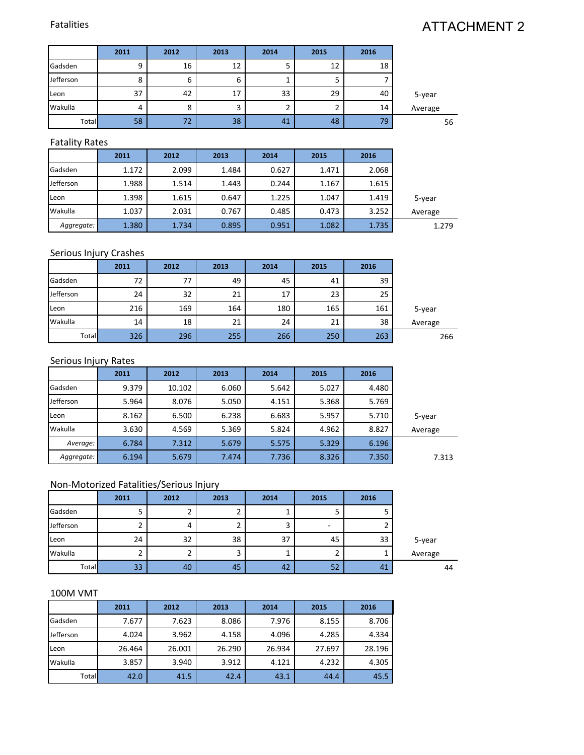#### Fatalities

# ATTACHMENT 2

|           | 2011 | 2012 | 2013 | 2014 | 2015 | 2016 |         |
|-----------|------|------|------|------|------|------|---------|
| Gadsden   | a    | 16   | 12   | ر    | 12   | 18   |         |
| Jefferson | o    | 6    | 6    |      |      |      |         |
| Leon      | 37   | 42   | 17   | 33   | 29   | 40   | 5-year  |
| Wakulla   | 4    | 8    |      |      |      | 14   | Average |
| Total     | 58   | 72   | 38   | 41   | 48   | 79   | 56      |

#### **Fatality Rates Exercise 2021**

|            | 2011  | 2012  | 2013  | 2014  | 2015  | 2016  |         |
|------------|-------|-------|-------|-------|-------|-------|---------|
| Gadsden    | 1.172 | 2.099 | 1.484 | 0.627 | 1.471 | 2.068 |         |
| Jefferson  | 1.988 | 1.514 | 1.443 | 0.244 | 1.167 | 1.615 |         |
| Leon       | 1.398 | 1.615 | 0.647 | 1.225 | 1.047 | 1.419 | 5-year  |
| Wakulla    | 1.037 | 2.031 | 0.767 | 0.485 | 0.473 | 3.252 | Average |
| Aggregate: | 1.380 | 1.734 | 0.895 | 0.951 | 1.082 | 1.735 | 1.279   |

### Serious Injury Crashes

|           | 2011 | 2012 | 2013 | 2014 | 2015 | 2016 |         |
|-----------|------|------|------|------|------|------|---------|
| Gadsden   | 72   | 77   | 49   | 45   | 41   | 39   |         |
| Jefferson | 24   | 32   | 21   | 17   | 23   | 25   |         |
| Leon      | 216  | 169  | 164  | 180  | 165  | 161  | 5-year  |
| Wakulla   | 14   | 18   | 21   | 24   | 21   | 38   | Average |
| Total     | 326  | 296  | 255  | 266  | 250  | 263  | 266     |

#### Serious Injury Rates

|            | 2011  | 2012   | 2013  | 2014  | 2015  | 2016  |         |
|------------|-------|--------|-------|-------|-------|-------|---------|
| Gadsden    | 9.379 | 10.102 | 6.060 | 5.642 | 5.027 | 4.480 |         |
| Jefferson  | 5.964 | 8.076  | 5.050 | 4.151 | 5.368 | 5.769 |         |
| Leon       | 8.162 | 6.500  | 6.238 | 6.683 | 5.957 | 5.710 | 5-year  |
| Wakulla    | 3.630 | 4.569  | 5.369 | 5.824 | 4.962 | 8.827 | Average |
| Average:   | 6.784 | 7.312  | 5.679 | 5.575 | 5.329 | 6.196 |         |
| Aggregate: | 6.194 | 5.679  | 7.474 | 7.736 | 8.326 | 7.350 | 7.313   |

#### Non-Motorized Fatalities/Serious Injury

|           | 2011 | 2012 | 2013   | 2014 | 2015 | 2016 |         |
|-----------|------|------|--------|------|------|------|---------|
| Gadsden   |      |      |        |      |      |      |         |
| Jefferson |      | 4    |        |      |      |      |         |
| Leon      | 24   | 32   | 38     | 37   | 45   | 33   | 5-year  |
| Wakulla   |      |      | ∍<br>э |      |      |      | Average |
| Total     | 33   | 40   | 45     | 42   | 52   | 41   | 44      |

#### 100M VMT

|           | 2011   | 2012   | 2013   | 2014   | 2015   | 2016   |
|-----------|--------|--------|--------|--------|--------|--------|
| Gadsden   | 7.677  | 7.623  | 8.086  | 7.976  | 8.155  | 8.706  |
| Jefferson | 4.024  | 3.962  | 4.158  | 4.096  | 4.285  | 4.334  |
| Leon      | 26.464 | 26.001 | 26.290 | 26.934 | 27.697 | 28.196 |
| Wakulla   | 3.857  | 3.940  | 3.912  | 4.121  | 4.232  | 4.305  |
| Total     | 42.0   | 41.5   | 42.4   | 43.1   | 44.4   | 45.5   |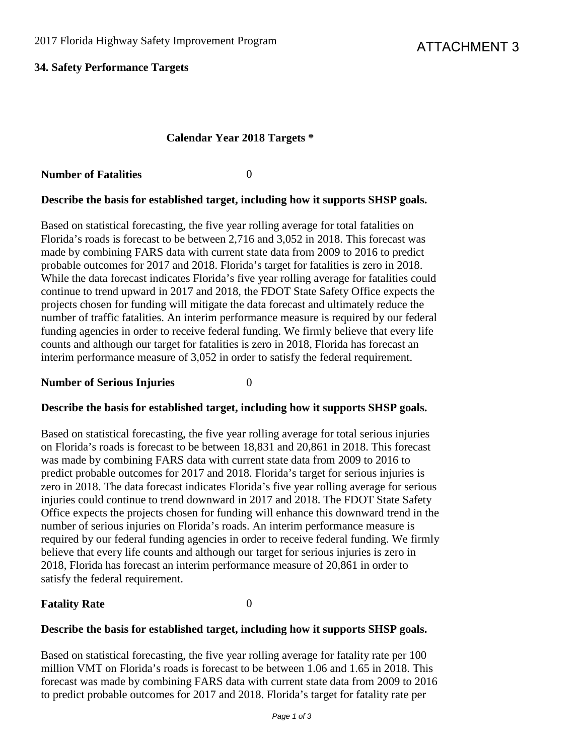#### **34. Safety Performance Targets**

#### **Calendar Year 2018 Targets \***

#### **Number of Fatalities** 0

#### **Describe the basis for established target, including how it supports SHSP goals.**

Based on statistical forecasting, the five year rolling average for total fatalities on Florida's roads is forecast to be between 2,716 and 3,052 in 2018. This forecast was made by combining FARS data with current state data from 2009 to 2016 to predict probable outcomes for 2017 and 2018. Florida's target for fatalities is zero in 2018. While the data forecast indicates Florida's five year rolling average for fatalities could continue to trend upward in 2017 and 2018, the FDOT State Safety Office expects the projects chosen for funding will mitigate the data forecast and ultimately reduce the number of traffic fatalities. An interim performance measure is required by our federal funding agencies in order to receive federal funding. We firmly believe that every life counts and although our target for fatalities is zero in 2018, Florida has forecast an interim performance measure of 3,052 in order to satisfy the federal requirement.

#### **Number of Serious Injuries** 0

#### **Describe the basis for established target, including how it supports SHSP goals.**

Based on statistical forecasting, the five year rolling average for total serious injuries on Florida's roads is forecast to be between 18,831 and 20,861 in 2018. This forecast was made by combining FARS data with current state data from 2009 to 2016 to predict probable outcomes for 2017 and 2018. Florida's target for serious injuries is zero in 2018. The data forecast indicates Florida's five year rolling average for serious injuries could continue to trend downward in 2017 and 2018. The FDOT State Safety Office expects the projects chosen for funding will enhance this downward trend in the number of serious injuries on Florida's roads. An interim performance measure is required by our federal funding agencies in order to receive federal funding. We firmly believe that every life counts and although our target for serious injuries is zero in 2018, Florida has forecast an interim performance measure of 20,861 in order to satisfy the federal requirement.

#### **Fatality Rate** 0

## **Describe the basis for established target, including how it supports SHSP goals.**

Based on statistical forecasting, the five year rolling average for fatality rate per 100 million VMT on Florida's roads is forecast to be between 1.06 and 1.65 in 2018. This forecast was made by combining FARS data with current state data from 2009 to 2016 to predict probable outcomes for 2017 and 2018. Florida's target for fatality rate per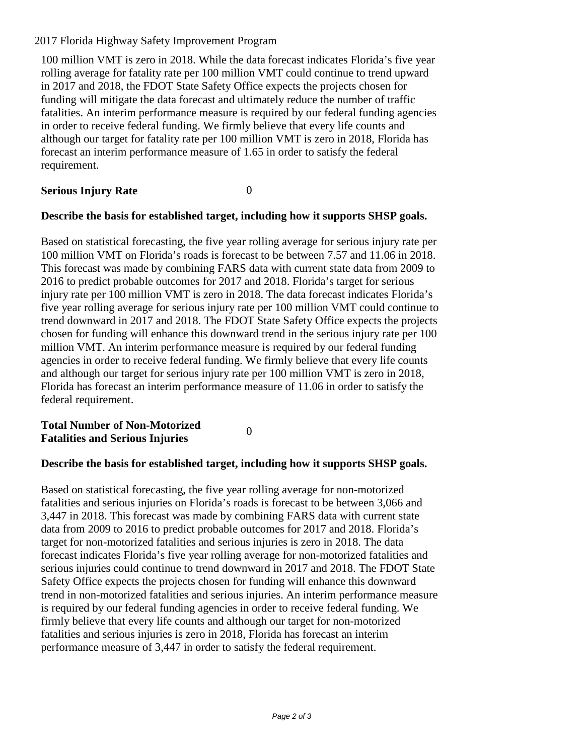#### 2017 Florida Highway Safety Improvement Program

100 million VMT is zero in 2018. While the data forecast indicates Florida's five year rolling average for fatality rate per 100 million VMT could continue to trend upward in 2017 and 2018, the FDOT State Safety Office expects the projects chosen for funding will mitigate the data forecast and ultimately reduce the number of traffic fatalities. An interim performance measure is required by our federal funding agencies in order to receive federal funding. We firmly believe that every life counts and although our target for fatality rate per 100 million VMT is zero in 2018, Florida has forecast an interim performance measure of 1.65 in order to satisfy the federal requirement.

#### **Serious Injury Rate** 0

### **Describe the basis for established target, including how it supports SHSP goals.**

Based on statistical forecasting, the five year rolling average for serious injury rate per 100 million VMT on Florida's roads is forecast to be between 7.57 and 11.06 in 2018. This forecast was made by combining FARS data with current state data from 2009 to 2016 to predict probable outcomes for 2017 and 2018. Florida's target for serious injury rate per 100 million VMT is zero in 2018. The data forecast indicates Florida's five year rolling average for serious injury rate per 100 million VMT could continue to trend downward in 2017 and 2018. The FDOT State Safety Office expects the projects chosen for funding will enhance this downward trend in the serious injury rate per 100 million VMT. An interim performance measure is required by our federal funding agencies in order to receive federal funding. We firmly believe that every life counts and although our target for serious injury rate per 100 million VMT is zero in 2018, Florida has forecast an interim performance measure of 11.06 in order to satisfy the federal requirement.

#### **Total Number of Non-Motorized Fatalities and Serious Injuries** <sup>0</sup>

### **Describe the basis for established target, including how it supports SHSP goals.**

Based on statistical forecasting, the five year rolling average for non-motorized fatalities and serious injuries on Florida's roads is forecast to be between 3,066 and 3,447 in 2018. This forecast was made by combining FARS data with current state data from 2009 to 2016 to predict probable outcomes for 2017 and 2018. Florida's target for non-motorized fatalities and serious injuries is zero in 2018. The data forecast indicates Florida's five year rolling average for non-motorized fatalities and serious injuries could continue to trend downward in 2017 and 2018. The FDOT State Safety Office expects the projects chosen for funding will enhance this downward trend in non-motorized fatalities and serious injuries. An interim performance measure is required by our federal funding agencies in order to receive federal funding. We firmly believe that every life counts and although our target for non-motorized fatalities and serious injuries is zero in 2018, Florida has forecast an interim performance measure of 3,447 in order to satisfy the federal requirement.